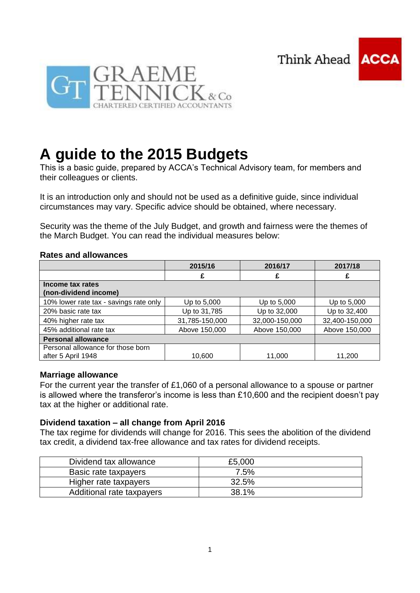Think Ahead





# **A guide to the 2015 Budgets**

This is a basic guide, prepared by ACCA's Technical Advisory team, for members and their colleagues or clients.

It is an introduction only and should not be used as a definitive guide, since individual circumstances may vary. Specific advice should be obtained, where necessary.

Security was the theme of the July Budget, and growth and fairness were the themes of the March Budget. You can read the individual measures below:

#### **Rates and allowances**

|                                                         | 2015/16        | 2016/17        | 2017/18        |
|---------------------------------------------------------|----------------|----------------|----------------|
|                                                         |                | £              |                |
| Income tax rates<br>(non-dividend income)               |                |                |                |
| 10% lower rate tax - savings rate only                  | Up to 5,000    | Up to 5,000    | Up to 5,000    |
| 20% basic rate tax                                      | Up to 31,785   | Up to 32,000   | Up to 32,400   |
| 40% higher rate tax                                     | 31,785-150,000 | 32,000-150,000 | 32,400-150,000 |
| 45% additional rate tax                                 | Above 150,000  | Above 150,000  | Above 150,000  |
| <b>Personal allowance</b>                               |                |                |                |
| Personal allowance for those born<br>after 5 April 1948 | 10,600         | 11,000         | 11,200         |

## **Marriage allowance**

For the current year the transfer of £1,060 of a personal allowance to a spouse or partner is allowed where the transferor's income is less than £10,600 and the recipient doesn't pay tax at the higher or additional rate.

## **Dividend taxation – all change from April 2016**

The tax regime for dividends will change for 2016. This sees the abolition of the dividend tax credit, a dividend tax-free allowance and tax rates for dividend receipts.

| Dividend tax allowance    | £5,000 |
|---------------------------|--------|
| Basic rate taxpayers      | 7.5%   |
| Higher rate taxpayers     | 32.5%  |
| Additional rate taxpayers | 38.1%  |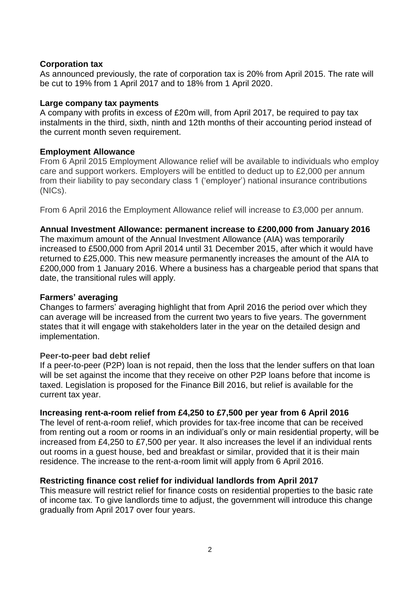## **Corporation tax**

As announced previously, the rate of corporation tax is 20% from April 2015. The rate will be cut to 19% from 1 April 2017 and to 18% from 1 April 2020.

#### **Large company tax payments**

A company with profits in excess of £20m will, from April 2017, be required to pay tax instalments in the third, sixth, ninth and 12th months of their accounting period instead of the current month seven requirement.

## **Employment Allowance**

From 6 April 2015 Employment Allowance relief will be available to individuals who employ care and support workers. Employers will be entitled to deduct up to £2,000 per annum from their liability to pay secondary class 1 ('employer') national insurance contributions (NICs).

From 6 April 2016 the Employment Allowance relief will increase to £3,000 per annum.

## **Annual Investment Allowance: permanent increase to £200,000 from January 2016**

The maximum amount of the Annual Investment Allowance (AIA) was temporarily increased to £500,000 from April 2014 until 31 December 2015, after which it would have returned to £25,000. This new measure permanently increases the amount of the AIA to £200,000 from 1 January 2016. Where a business has a chargeable period that spans that date, the transitional rules will apply.

#### **Farmers' averaging**

Changes to farmers' averaging highlight that from April 2016 the period over which they can average will be increased from the current two years to five years. The government states that it will engage with stakeholders later in the year on the detailed design and implementation.

## **Peer-to-peer bad debt relief**

If a peer-to-peer (P2P) loan is not repaid, then the loss that the lender suffers on that loan will be set against the income that they receive on other P2P loans before that income is taxed. Legislation is proposed for the Finance Bill 2016, but relief is available for the current tax year.

## **Increasing rent-a-room relief from £4,250 to £7,500 per year from 6 April 2016**

The level of rent-a-room relief, which provides for tax-free income that can be received from renting out a room or rooms in an individual's only or main residential property, will be increased from £4,250 to £7,500 per year. It also increases the level if an individual rents out rooms in a guest house, bed and breakfast or similar, provided that it is their main residence. The increase to the rent-a-room limit will apply from 6 April 2016.

## **Restricting finance cost relief for individual landlords from April 2017**

This measure will restrict relief for finance costs on residential properties to the basic rate of income tax. To give landlords time to adjust, the government will introduce this change gradually from April 2017 over four years.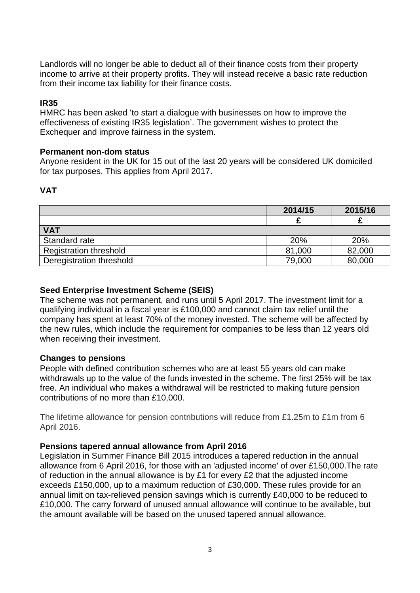Landlords will no longer be able to deduct all of their finance costs from their property income to arrive at their property profits. They will instead receive a basic rate reduction from their income tax liability for their finance costs.

#### **IR35**

HMRC has been asked 'to start a dialogue with businesses on how to improve the effectiveness of existing IR35 legislation'. The government wishes to protect the Exchequer and improve fairness in the system.

#### **Permanent non-dom status**

Anyone resident in the UK for 15 out of the last 20 years will be considered UK domiciled for tax purposes. This applies from April 2017.

#### **VAT**

|                               | 2014/15 | 2015/16 |
|-------------------------------|---------|---------|
|                               |         |         |
| <b>VAT</b>                    |         |         |
| Standard rate                 | 20%     | 20%     |
| <b>Registration threshold</b> | 81,000  | 82,000  |
| Deregistration threshold      | 79,000  | 80,000  |

## **Seed Enterprise Investment Scheme (SEIS)**

The scheme was not permanent, and runs until 5 April 2017. The investment limit for a qualifying individual in a fiscal year is £100,000 and cannot claim tax relief until the company has spent at least 70% of the money invested. The scheme will be affected by the new rules, which include the requirement for companies to be less than 12 years old when receiving their investment.

#### **Changes to pensions**

People with defined contribution schemes who are at least 55 years old can make withdrawals up to the value of the funds invested in the scheme. The first 25% will be tax free. An individual who makes a withdrawal will be restricted to making future pension contributions of no more than £10,000.

The lifetime allowance for pension contributions will reduce from £1.25m to £1m from 6 April 2016.

#### **Pensions tapered annual allowance from April 2016**

Legislation in Summer Finance Bill 2015 introduces a tapered reduction in the annual allowance from 6 April 2016, for those with an 'adjusted income' of over £150,000.The rate of reduction in the annual allowance is by £1 for every £2 that the adjusted income exceeds £150,000, up to a maximum reduction of £30,000. These rules provide for an annual limit on tax-relieved pension savings which is currently £40,000 to be reduced to £10,000. The carry forward of unused annual allowance will continue to be available, but the amount available will be based on the unused tapered annual allowance.